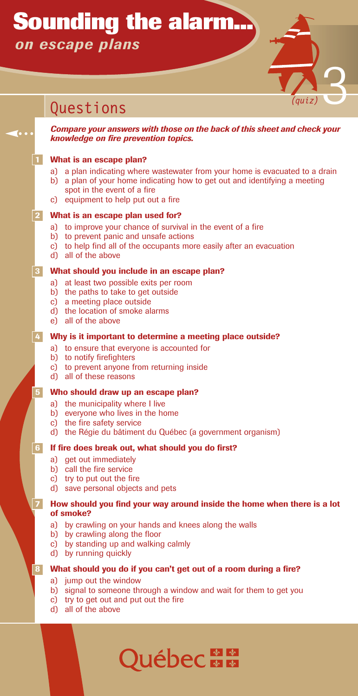# **Sounding the alarm...** *on escape plans*

# *Compare your answers with those on the back of this sheet and check your knowledge on fire prevention topics.* **1 What is an escape plan?** a) a plan indicating where wastewater from your home is evacuated to a drain b) a plan of your home indicating how to get out and identifying a meeting spot in the event of a fire c) equipment to help put out a fire **2 What is an escape plan used for?** a) to improve your chance of survival in the event of a fire b) to prevent panic and unsafe actions c) to help find all of the occupants more easily after an evacuation d) all of the above **3 What should you include in an escape plan?** a) at least two possible exits per room b) the paths to take to get outside c) a meeting place outside d) the location of smoke alarms e) all of the above **4 Why is it important to determine a meeting place outside?** a) to ensure that everyone is accounted for b) to notify firefighters c) to prevent anyone from returning inside d) all of these reasons **5 Who should draw up an escape plan?** a) the municipality where I live b) everyone who lives in the home c) the fire safety service d) the Régie du bâtiment du Québec (a government organism) **6 If fire does break out, what should you do first?** a) get out immediately b) call the fire service c) try to put out the fire d) save personal objects and pets **7 How should you find your way around inside the home when there is a lot of smoke?** a) by crawling on your hands and knees along the walls b) by crawling along the floor c) by standing up and walking calmly d) by running quickly **8 What should you do if you can't get out of a room during a fire?** Questions **73**

- a) jump out the window
- b) signal to someone through a window and wait for them to get you

**Québec - E** 

- c) try to get out and put out the fire
- d) all of the above